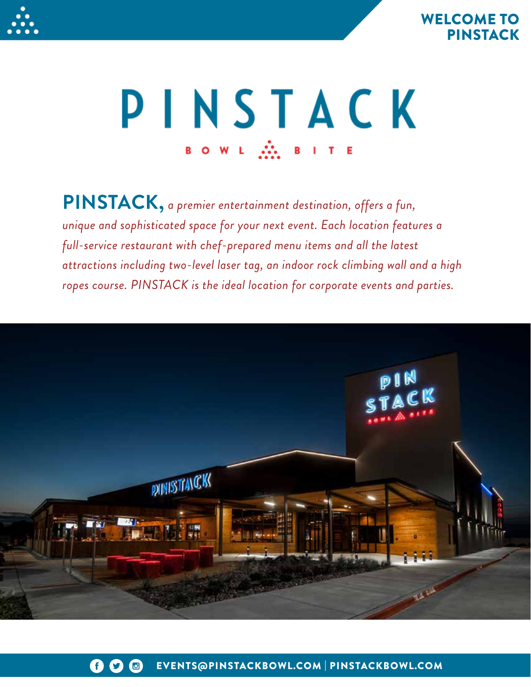



# PINSTACK BOWL M. BITE

**PINSTACK,** *a premier entertainment destination, offers a fun, unique and sophisticated space for your next event. Each location features a full-service restaurant with chef-prepared menu items and all the latest attractions including two-level laser tag, an indoor rock climbing wall and a high ropes course. PINSTACK is the ideal location for corporate events and parties.*

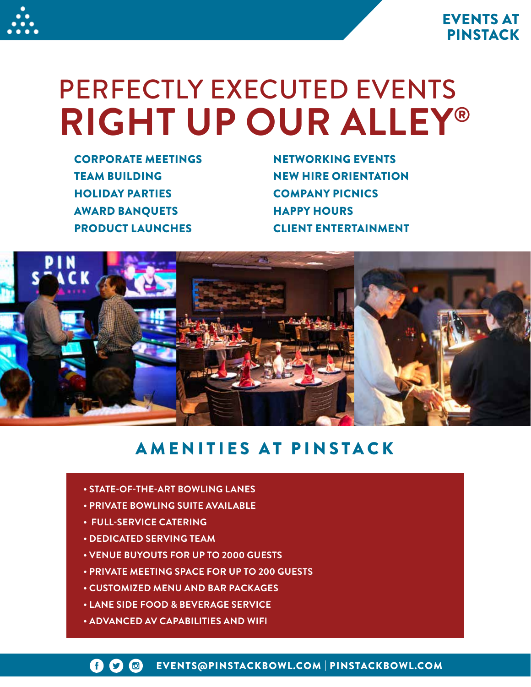



# PERFECTLY EXECUTED EVENTS **RIGHT UP OUR ALLEY®**

CORPORATE MEETINGS TEAM BUILDING HOLIDAY PARTIES AWARD BANQUETS PRODUCT LAUNCHES

NETWORKING EVENTS NEW HIRE ORIENTATION COMPANY PICNICS HAPPY HOURS CLIENT ENTERTAINMENT



## AMENITIES AT PINSTACK

- **STATE-OF-THE-ART BOWLING LANES**
- **PRIVATE BOWLING SUITE AVAILABLE**
- **FULL-SERVICE CATERING**
- **DEDICATED SERVING TEAM**
- **VENUE BUYOUTS FOR UP TO 2000 GUESTS**
- **PRIVATE MEETING SPACE FOR UP TO 200 GUESTS**
- **CUSTOMIZED MENU AND BAR PACKAGES**
- **LANE SIDE FOOD & BEVERAGE SERVICE**
- **ADVANCED AV CAPABILITIES AND WIFI**

EVENTS@PINSTACKBOWL.COM | PINSTACKBOWL.COM 6 D G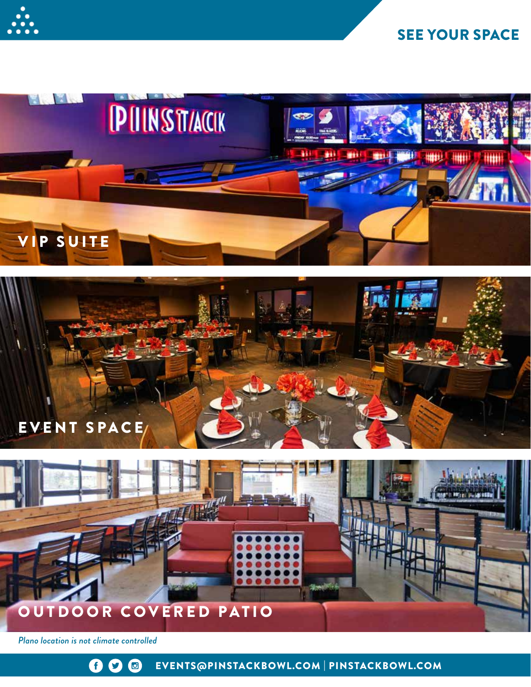

## SEE YOUR SPACE







*Plano location is not climate controlled*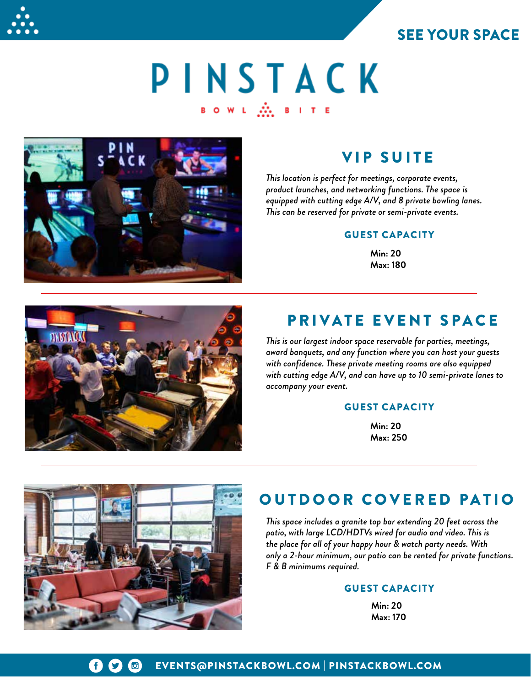



# PINSTACK  $\mathsf{B} \left( \mathsf{O} \left( \mathsf{W} \right) \mathsf{L} \right) = \bigoplus_{i=1}^k \mathsf{B} \left( \mathsf{B} \right) \mathsf{I} \left( \mathsf{T} \right) \mathsf{E}$



## VIP SUITE

*This location is perfect for meetings, corporate events, product launches, and networking functions. The space is equipped with cutting edge A/V, and 8 private bowling lanes. This can be reserved for private or semi-private events.*

#### GUEST CAPACITY

**Min: 20 Max: 180**



## PRIVATE EVENT SPACE

*This is our largest indoor space reservable for parties, meetings, award banquets, and any function where you can host your guests with confidence. These private meeting rooms are also equipped with cutting edge A/V, and can have up to 10 semi-private lanes to accompany your event.*

#### GUEST CAPACITY

**Min: 20 Max: 250**



## OUTDOOR COVERED PATIO

*This space includes a granite top bar extending 20 feet across the patio, with large LCD/HDTVs wired for audio and video. This is the place for all of your happy hour & watch party needs. With only a 2-hour minimum, our patio can be rented for private functions. F & B minimums required.*

#### GUEST CAPACITY

**Min: 20 Max: 170**

#### EVENTS@PINSTACKBOWL.COM | PINSTACKBOWL.COM G  $\boldsymbol{\Omega}$  $\bigcirc$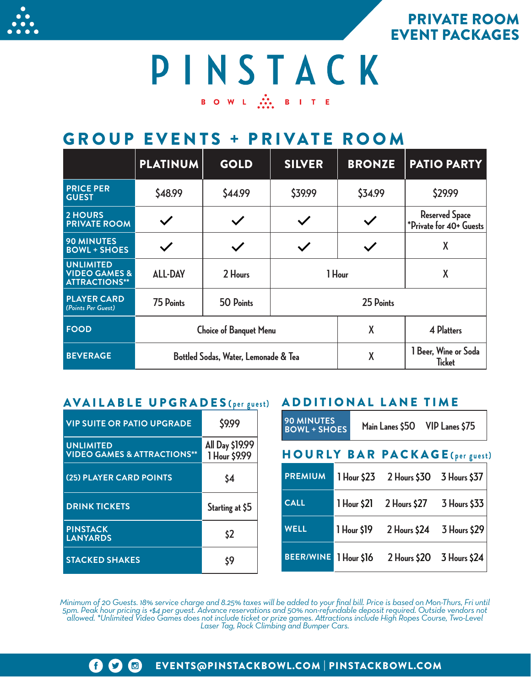

PRIVATE ROOM EVENT PACKAGES

## PINSTACK BOWL ... BITE

## GROUP EVENTS + PRIVATE ROOM

|                                                                      | <b>PLATINUM</b>                      | <b>GOLD</b>                   | <b>SILVER</b> | <b>BRONZE</b> | <b>PATIO PARTY</b>                               |
|----------------------------------------------------------------------|--------------------------------------|-------------------------------|---------------|---------------|--------------------------------------------------|
| <b>PRICE PER</b><br><b>GUEST</b>                                     | \$48.99                              | \$44.99                       | \$39.99       | \$34.99       | \$29.99                                          |
| 2 HOURS<br><b>PRIVATE ROOM</b>                                       |                                      | $\checkmark$                  |               |               | <b>Reserved Space</b><br>*Private for 40+ Guests |
| <b>90 MINUTES</b><br><b>BOWL + SHOES</b>                             |                                      | $\checkmark$                  |               |               | X                                                |
| <b>UNLIMITED</b><br><b>VIDEO GAMES &amp;</b><br><b>ATTRACTIONS**</b> | <b>ALL-DAY</b>                       | 2 Hours                       | 1 Hour        |               | X                                                |
| <b>PLAYER CARD</b><br>(Points Per Guest)                             | 75 Points                            | 50 Points                     |               |               |                                                  |
| <b>FOOD</b>                                                          |                                      | <b>Choice of Banquet Menu</b> |               |               | 4 Platters                                       |
| <b>BEVERAGE</b>                                                      | Bottled Sodas, Water, Lemonade & Tea |                               |               | X             | 1 Beer, Wine or Soda<br><b>Ticket</b>            |

## AVAILABLE UPGRADES **( per guest)** ADDITIONAL LANE TIME

| <b>VIP SUITE OR PATIO UPGRADE</b>                          | \$9.99                           |
|------------------------------------------------------------|----------------------------------|
| <b>UNLIMITED</b><br><b>VIDEO GAMES &amp; ATTRACTIONS**</b> | All Day \$19.99<br>1 Hour \$9.99 |
| <b>(25) PLAYER CARD POINTS</b>                             | \$4                              |
| <b>DRINK TICKETS</b>                                       | Starting at \$5                  |
| <b>PINSTACK</b><br><b>LANYARDS</b>                         | \$2                              |
| <b>STACKED SHAKES</b>                                      | \$9                              |

| <b>90 MINUTES</b><br><b>BOWL + SHOES</b> |             | Main Lanes \$50 VIP Lanes \$75        |              |
|------------------------------------------|-------------|---------------------------------------|--------------|
|                                          |             | <b>HOURLY BAR PACKAGE</b> (per guest) |              |
| <b>PREMIUM</b>                           |             | 1 Hour \$23 2 Hours \$30 3 Hours \$37 |              |
| <b>CALL</b>                              | 1 Hour \$21 | 2 Hours \$27                          | 3 Hours \$33 |
| <b>WELL</b>                              | 1 Hour \$19 | $2$ Hours \$24                        | 3 Hours \$29 |
| <b>BEER/WINE</b>                         | 1 Hour \$16 | 2 Hours \$20                          | 3 Hours \$24 |

*Minimum of 20 Guests. 18% service charge and 8.25% taxes will be added to your final bill. Price is based on Mon-Thurs, Fri until 5pm. Peak hour pricing is +\$4 per guest. Advance reservations and 50% non-refundable deposit required. Outside vendors not allowed. \*Unlimited Video Games does not include ticket or prize games. Attractions include High Ropes Course, Two-Level Laser Tag, Rock Climbing and Bumper Cars.*

#### $\mathbf f$   $\mathbf C$   $\mathbf G$ EVENTS@PINSTACKBOWL.COM | PINSTACKBOWL.COM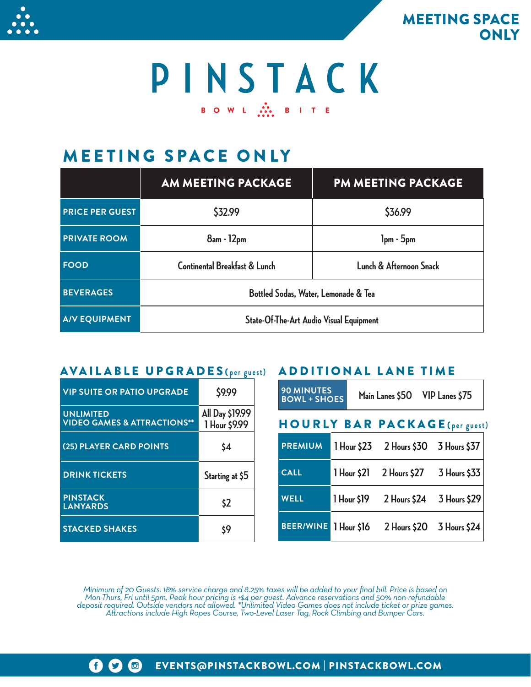

MEETING SPACE **ONLY** 

# PINSTACK B O W L ... B I T E

## MEETING SPACE ONLY

|                        | AM MEETING PACKAGE                      | <b>PM MEETING PACKAGE</b> |  |  |  |
|------------------------|-----------------------------------------|---------------------------|--|--|--|
| <b>PRICE PER GUEST</b> | \$32.99                                 | \$36.99                   |  |  |  |
| <b>PRIVATE ROOM</b>    | 8am - 12pm                              | $1pm - 5pm$               |  |  |  |
| <b>FOOD</b>            | Continental Breakfast & Lunch           | Lunch & Afternoon Snack   |  |  |  |
| <b>BEVERAGES</b>       | Bottled Sodas, Water, Lemonade & Tea    |                           |  |  |  |
| <b>A/V EQUIPMENT</b>   | State-Of-The-Art Audio Visual Equipment |                           |  |  |  |

## AVAILABLE UPGRADES **( per guest)** ADDITIONAL LANE TIME

| <b>VIP SUITE OR PATIO UPGRADE</b>                          | \$9.99                           |
|------------------------------------------------------------|----------------------------------|
| <b>UNLIMITED</b><br><b>VIDEO GAMES &amp; ATTRACTIONS**</b> | All Day \$19.99<br>1 Hour \$9.99 |
| (25) PLAYER CARD POINTS                                    | \$4                              |
| <b>DRINK TICKETS</b>                                       | Starting at \$5                  |
| <b>PINSTACK</b><br><b>LANYARDS</b>                         | \$2                              |
| <b>STACKED SHAKES</b>                                      | \$9                              |

| <b>90 MINUTES</b><br><b>BOWL + SHOES</b> |             |  | Main Lanes \$50 VIP Lanes \$75        |                           |  |
|------------------------------------------|-------------|--|---------------------------------------|---------------------------|--|
| <b>HOURLY BAR PACKAGE</b> (per guest)    |             |  |                                       |                           |  |
| <b>PREMIUM</b>                           |             |  | 1 Hour \$23 2 Hours \$30 3 Hours \$37 |                           |  |
| <b>CALL</b>                              | 1 Hour \$21 |  | 2 Hours \$27                          | 3 Hours \$33              |  |
| <b>WELL</b>                              | 1 Hour \$19 |  | 2 Hours \$24                          | 3 Hours \$29              |  |
| <b>BEER/WINE</b>                         | 1 Hour \$16 |  |                                       | 2 Hours \$20 3 Hours \$24 |  |

*Minimum of 20 Guests. 18% service charge and 8.25% taxes will be added to your final bill. Price is based on*  Mon-Thurs, Fri until 5pm. Peak hour pricing is +\$4 per guest. Advance reservations and 50% non-refundable<br>deposit required. Outside vendors not allowed. \*Unlimited Video Games does not include ticket or prize games.<br>Attrac

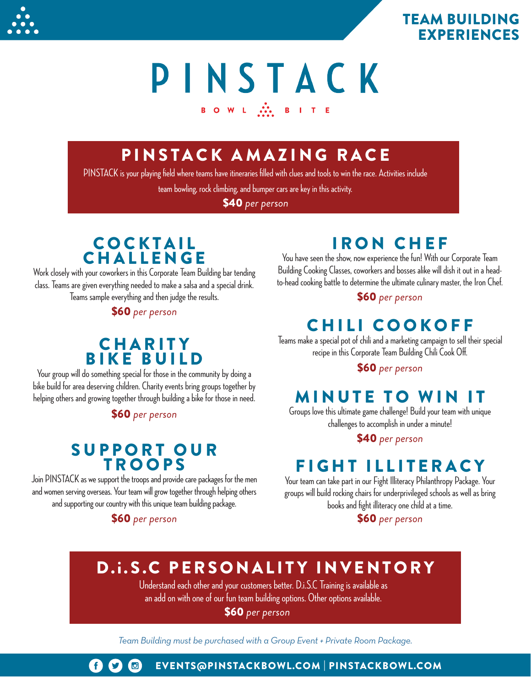

## TEAM BUILDING EXPERIENCES

## PINSTACK BOWL ...<br>BITE

## PINSTACK AMAZING RACE

PINSTACK is your playing field where teams have itineraries filled with clues and tools to win the race. Activities include

team bowling, rock climbing, and bumper cars are key in this activity.

\$40 *per person*

## **COCKTAIL** CHALLENGE

Work closely with your coworkers in this Corporate Team Building bar tending class. Teams are given everything needed to make a salsa and a special drink. Teams sample everything and then judge the results.

\$60 *per person*

## **CHARITY** BIKE BUILD

Your group will do something special for those in the community by doing a bike build for area deserving children. Charity events bring groups together by helping others and growing together through building a bike for those in need.

\$60 *per person*

## SUPPORT OUR TROOPS

Join PINSTACK as we support the troops and provide care packages for the men and women serving overseas. Your team will grow together through helping others and supporting our country with this unique team building package.

### \$60 *per person*

## IRON CHEF

You have seen the show, now experience the fun! With our Corporate Team Building Cooking Classes, coworkers and bosses alike will dish it out in a headto-head cooking battle to determine the ultimate culinary master, the Iron Chef.

\$60 *per person*

## CHILI COOKOFF

Teams make a special pot of chili and a marketing campaign to sell their special recipe in this Corporate Team Building Chili Cook Off.

#### \$60 *per person*

## MINUTE TO WIN IT

Groups love this ultimate game challenge! Build your team with unique challenges to accomplish in under a minute!

#### \$40 *per person*

## FIGHT ILLITERACY

Your team can take part in our Fight Illiteracy Philanthropy Package. Your groups will build rocking chairs for underprivileged schools as well as bring books and fight illiteracy one child at a time.

\$60 *per person*

## D.i.S.C PERSONALITY INVENTORY

Understand each other and your customers better. D.i.S.C Training is available as an add on with one of our fun team building options. Other options available.

\$60 *per person*

*Team Building must be purchased with a Group Event + Private Room Package.*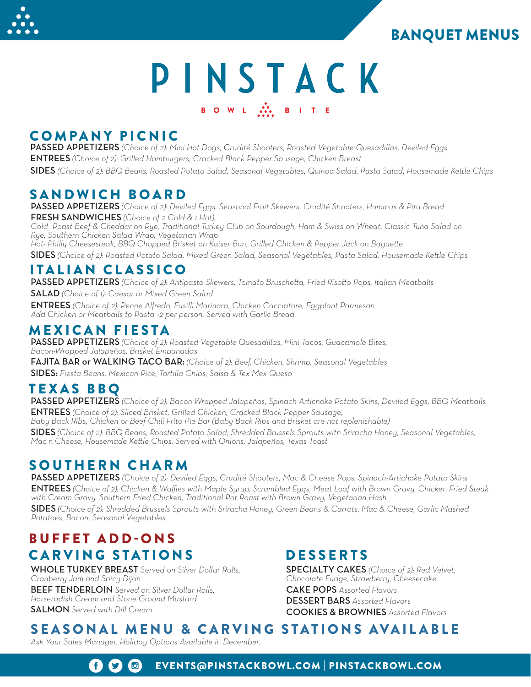## BANQUET MENUS



# PINSTACK BOWL ... BITE

### COMPANY PICNIC

PASSED APPETIZERS *(Choice of 2): Mini Hot Dogs, Crudité Shooters, Roasted Vegetable Quesadillas, Deviled Eggs* ENTREES *(Choice of 2): Grilled Hamburgers, Cracked Black Pepper Sausage, Chicken Breast*

SIDES *(Choice of 2): BBQ Beans, Roasted Potato Salad, Seasonal Vegetables, Quinoa Salad, Pasta Salad, Housemade Kettle Chips*

## SANDWICH BOARD

PASSED APPETIZERS *(Choice of 2): Deviled Eggs, Seasonal Fruit Skewers, Crudité Shooters, Hummus & Pita Bread* FRESH SANDWICHES *(Choice of 2 Cold & 1 Hot):* 

*Cold- Roast Beef & Cheddar on Rye, Traditional Turkey Club on Sourdough, Ham & Swiss on Wheat, Classic Tuna Salad on Rye, Southern Chicken Salad Wrap, Vegetarian Wrap* 

*Hot- Philly Cheesesteak, BBQ Chopped Brisket on Kaiser Bun, Grilled Chicken & Pepper Jack on Baguette*

SIDES *(Choice of 2): Roasted Potato Salad, Mixed Green Salad, Seasonal Vegetables, Pasta Salad, Housemade Kettle Chips*

## ITALIAN CLASSICO

PASSED APPETIZERS *(Choice of 2): Antipasto Skewers, Tomato Bruschetta, Fried Risotto Pops, Italian Meatballs*

SALAD *(Choice of 1): Caesar or Mixed Green Salad*

ENTREES *(Choice of 2): Penne Alfredo, Fusilli Marinara, Chicken Cacciatore, Eggplant Parmesan Add Chicken or Meatballs to Pasta +2 per person. Served with Garlic Bread.*

## MEXICAN FIESTA

PASSED APPETIZERS *(Choice of 2): Roasted Vegetable Quesadillas, Mini Tacos, Guacamole Bites, Bacon-Wrapped Jalapeños, Brisket Empanadas*

FAJITA BAR or WALKING TACO BAR: *(Choice of 2): Beef, Chicken, Shrimp, Seasonal Vegetables* SIDES: *Fiesta Beans, Mexican Rice, Tortilla Chips, Salsa & Tex-Mex Queso*

## TEXAS BBQ

PASSED APPETIZERS *(Choice of 2): Bacon-Wrapped Jalapeños, Spinach Artichoke Potato Skins, Deviled Eggs, BBQ Meatballs* ENTREES *(Choice of 2): Sliced Brisket, Grilled Chicken, Cracked Black Pepper Sausage,* 

*Baby Back Ribs, Chicken or Beef Chili Frito Pie Bar (Baby Back Ribs and Brisket are not replenishable)*

SIDES *(Choice of 2): BBQ Beans, Roasted Potato Salad, Shredded Brussels Sprouts with Sriracha Honey, Seasonal Vegetables, Mac n Cheese, Housemade Kettle Chips. Served with Onions, Jalapeños, Texas Toast*

## SOUTHERN CHARM

PASSED APPETIZERS *(Choice of 2): Deviled Eggs, Crudité Shooters, Mac & Cheese Pops, Spinach-Artichoke Potato Skins* ENTREES *(Choice of 2): Chicken & Waffles with Maple Syrup, Scrambled Eggs, Meat Loaf with Brown Gravy, Chicken Fried Steak with Cream Gravy, Southern Fried Chicken, Traditional Pot Roast with Brown Gravy, Vegetarian Hash* 

SIDES *(Choice of 2): Shredded Brussels Sprouts with Sriracha Honey, Green Beans & Carrots, Mac & Cheese, Garlic Mashed Potatoes, Bacon, Seasonal Vegetables* 

## CARVING STATIONS DESSERTS BUFFET ADD-ONS

WHOLE TURKEY BREAST *Served on Silver Dollar Rolls, Cranberry Jam and Spicy Dijon* BEEF TENDERLOIN *Served on Silver Dollar Rolls, Horseradish Cream and Stone Ground Mustard* SALMON *Served with Dill Cream*

SPECIALTY CAKES *(Choice of 2): Red Velvet, Chocolate Fudge, Strawberry, Cheesecake* CAKE POPS *Assorted Flavors* DESSERT BARS *Assorted Flavors* COOKIES & BROWNIES *Assorted Flavors*

## SEASONAL MENU & CARVING STATIONS AVAILABLE

*Ask Your Sales Manager. Holiday Options Available in December.* 

 $\mathbf{f}$  $\bigcirc$ EVENTS@PINSTACKBOWL.COM | PINSTACKBOWL.COM  $\boldsymbol{\mathcal{G}}$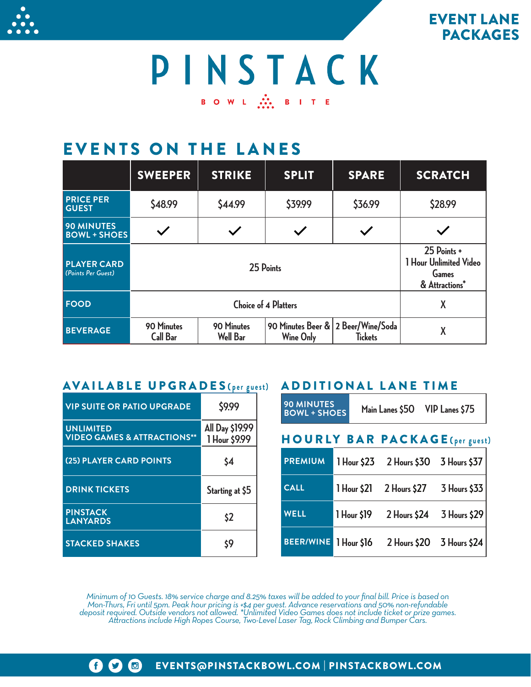



PINSTACK BOWL MIRITE

## EVENTS ON THE LANES

|                                          | <b>SWEEPER</b>                | <b>STRIKE</b>                 | <b>SPLIT</b>                                           | <b>SPARE</b>   | <b>SCRATCH</b>                                                   |
|------------------------------------------|-------------------------------|-------------------------------|--------------------------------------------------------|----------------|------------------------------------------------------------------|
| <b>PRICE PER</b><br><b>GUEST</b>         | \$48.99                       | \$44.99                       | \$39.99                                                | \$36.99        | \$28.99                                                          |
| <b>90 MINUTES</b><br><b>BOWL + SHOES</b> |                               |                               |                                                        |                |                                                                  |
| <b>PLAYER CARD</b><br>(Points Per Guest) | 25 Points                     |                               |                                                        |                | 25 Points +<br>1 Hour Unlimited Video<br>Games<br>& Attractions* |
| <b>FOOD</b>                              | <b>Choice of 4 Platters</b>   |                               |                                                        |                | X                                                                |
| <b>BEVERAGE</b>                          | 90 Minutes<br><b>Call Bar</b> | 90 Minutes<br><b>Well Bar</b> | 90 Minutes Beer & 2 Beer/Wine/Soda<br><b>Wine Only</b> | <b>Tickets</b> | X                                                                |

### AVAILABLE UPGRADES **( per guest)** ADDITIONAL LANE TIME

| <b>VIP SUITE OR PATIO UPGRADE</b>                          | \$9.99                           |
|------------------------------------------------------------|----------------------------------|
| <b>UNLIMITED</b><br><b>VIDEO GAMES &amp; ATTRACTIONS**</b> | All Day \$19.99<br>1 Hour \$9.99 |
| (25) PLAYER CARD POINTS                                    | \$4                              |
| <b>DRINK TICKETS</b>                                       | Starting at \$5                  |
| <b>PINSTACK</b><br><b>LANYARDS</b>                         | \$2                              |
| <b>STACKED SHAKES</b>                                      | \$9                              |

| <b>90 MINUTES</b><br><b>BOWL + SHOES</b> |             | Main Lanes \$50 VIP Lanes \$75        |              |
|------------------------------------------|-------------|---------------------------------------|--------------|
|                                          |             | <b>HOURLY BAR PACKAGE(per guest)</b>  |              |
| <b>PREMIUM</b>                           |             | 1 Hour \$23 2 Hours \$30 3 Hours \$37 |              |
| <b>CALL</b>                              | 1 Hour \$21 | 2 Hours \$27                          | 3 Hours \$33 |
| <b>WELL</b>                              | 1 Hour \$19 | 2 Hours \$24                          | 3 Hours \$29 |
| <b>BEER/WINE</b>                         | 1 Hour \$16 | 2 Hours \$20 3 Hours \$24             |              |

*Minimum of 10 Guests. 18% service charge and 8.25% taxes will be added to your final bill. Price is based on*  Mon-Thurs, Fri until 5pm. Peak hour pricing is +\$4 per guest. Advance reservations and 50% non-refundable<br>deposit required. Outside vendors not allowed. \*Unlimited Video Games does not include ticket or prize games.<br>Attrac